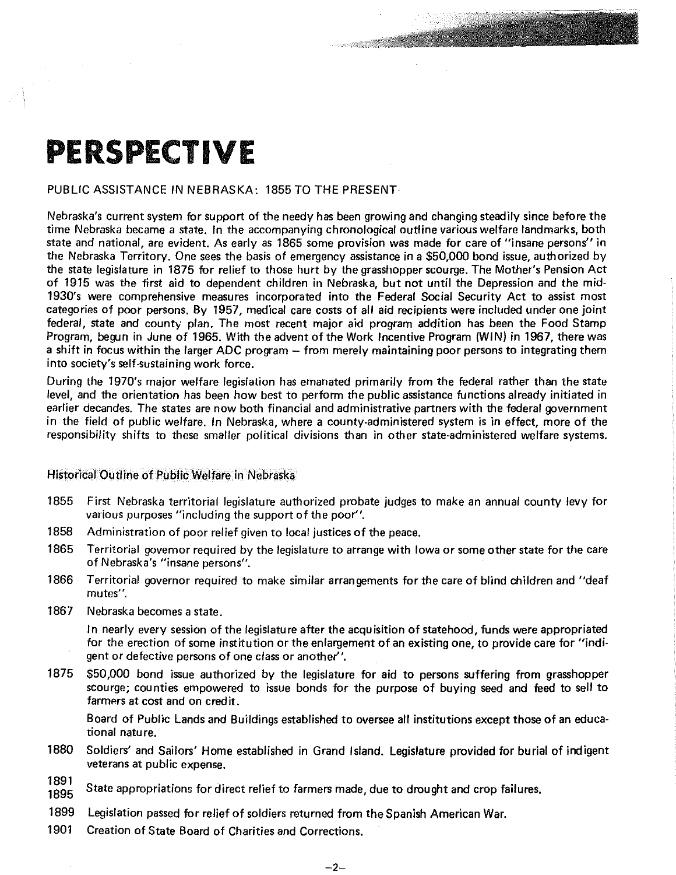## **PERSPECTIVE**

## PUBLIC ASSISTANCE IN NEBRASKA: 1855 TO THE PRESENT

Nebraska's current system for support of the needy has been growing and changing steadily since before the time Nebraska became a state. In the accompanying chronological outline various welfare landmarks, both state and national, are evident. As early as 1865 some provision was made for care of "insane persons" in the Nebraska Territory. One sees the basis of emergency assistance in a \$50,000 bond issue, authorized by the state legislature in 1875 for relief to those hurt by the grasshopper scourge. The Mother's Pension Act of 1915 was the first aid to dependent children in Nebraska, but not until the Depression and the mid-1930's were comprehensive measures incorporated into the Federal Social Security Act to assist most categories of poor persons. By 1957, medical care costs of all aid recipients were included under one joint federal, state and county plan. The most recent major aid program addition has been the Food Stamp Program, begun in June of 1965. With the advent of the Work Incentive Program (WIN) in 1967, there was a shift in focus within the larger ADC program - from merely maintaining poor persons to integrating them into society's self-sustaining work force.

During the 1970's major welfare legislation has emanated primarily from the federal rather than the state level, and the orientation has been how best to perform the public assistance functions already initiated in earlier decandes. The states are now both financial and administrative partners with the federal government in the field of public welfare. In Nebraska, where a county-administered system is in effect, more of the responsibility shifts to these smaller political divisions than in other state-administered welfare systems.

Historical Outline of Public Welfare in Nebraska

- 1855 First Nebraska territorial legislature authorized probate judges to make an annual county levy for various purposes "including the support of the poor".
- 1858 Administration of poor relief given to local justices of the peace.
- 1865 Territorial governor required by the legislature to arrange with Iowa or some other state for the care of Nebraska's "insane persons".
- 1866 Territorial governor required to make similar arrangements for the care of blind children and "deaf **mutes''.**
- 1867 Nebraska becomes a state.

In nearly every session of the legislature after the acquisition of statehood, funds were appropriated for the erection of some institution or the enlargement of an existing one, to provide care for "indigent or defective persons of one class or another".

1875 \$50,000 bond issue authorized by the legislature for aid to persons suffering from grasshopper scourge; counties empowered to issue bonds for the purpose of buying seed and feed to sell to farmers at cost and on credit.

Board of Public lands and Buildings established to oversee all institutions except those of an educational nature.

- 1880 Soldiers' and Sailors' Home established in Grand Island. legislature provided for burial of indigent veterans at public expense.
- 1891 State appropriations for direct relief to farmers made, due to drought and crop failures.
- 1899 legislation passed for relief of soldiers returned from the Spanish American War.
- 1901 Creation of State Board of Charities and Corrections.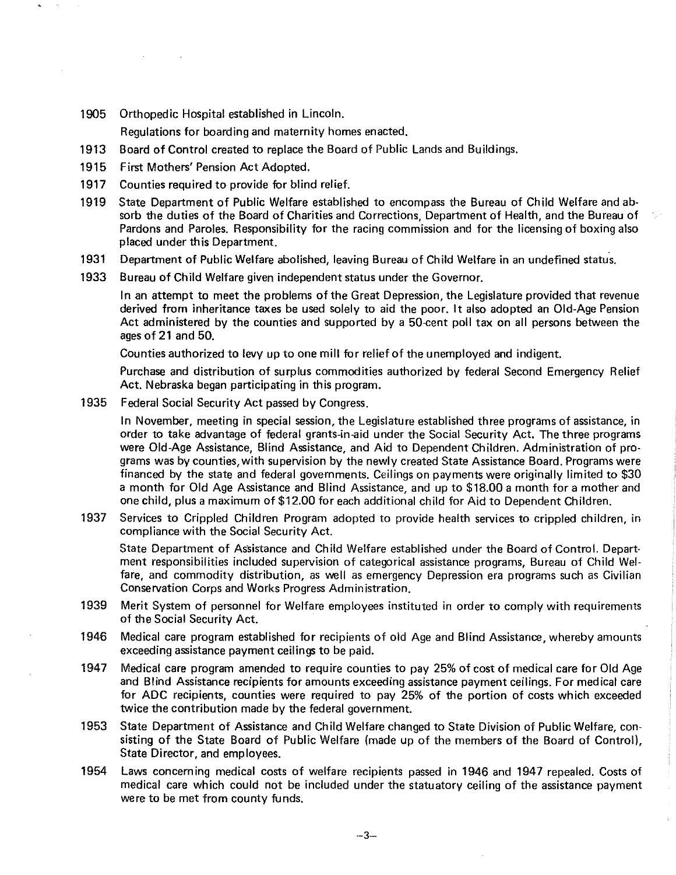1905 Orthopedic Hospital established in Lincoln.

Regulations for boarding and maternity homes enacted.

- 1913 Board of Control created to replace the Board of Public Lands and Buildings.
- 1915 First Mothers' Pension Act Adopted.
- 1917 Counties required to provide for blind relief.
- 1919 State Department of Public Welfare established to encompass the Bureau of Child Welfare and absorb the duties of the Board of Charities and Corrections, Department of Health, and the Bureau of Pardons and Paroles. Responsibility for the racing commission and for the licensing of boxing also placed under this Department.
- 1931 Department of Public Welfare abolished, leaving Bureau of Child Welfare in an undefined status.
- 1933 Bureau of Child Welfare given independent status under the Governor.

In an attempt to meet the problems of the Great Depression, the Legislature provided that revenue derived from inheritance taxes be used solely to aid the poor. It also adopted an Old-Age Pension Act administered by the counties and supported by a 50-cent poll tax on all persons between the ages of 21 and 50.

Counties authorized to levy up to one mill for relief of the unemployed and indigent.

Purchase and distribution of surplus commodities authorized by federal Second Emergency Relief Act. Nebraska began participating in this program.

1935 Federal Social Security Act passed by Congress.

In November, meeting in special session, the Legislature established three programs of assistance, in order to take advantage of federal grants-in-aid under the Social Security Act. The three programs were Old-Age Assistance, Blind Assistance, and Aid to Dependent Children. Administration of programs was by counties, with supervision by the newly created State Assistance Board. Programs were financed by the state and federal governments. Ceilings on payments were originally limited to \$30 a month for Old Age Assistance and Blind Assistance, and up to \$18.00 a month for a mother and one child, plus a maximum of \$12.00 for each additional child for Aid to Dependent Children.

1937 Services to Crippled Children Program adopted to provide health services to crippled children, in compliance with the Social Security Act.

State Department of Assistance and Child Welfare established under the Board of Control. Department responsibilities included supervision of categorical assistance programs, Bureau of Child Welfare, and commodity distribution, as well as emergency Depression era programs such as Civilian Conservation Corps and Works Progress Administration.

- 1939 Merit System of personnel for Welfare employees instituted in order to comply with requirements of the Social Security Act.
- 1946 Medical care program established for recipients of old Age and Blind Assistance, whereby amounts exceeding assistance payment ceilings to be paid.
- 1947 Medical care program amended to require counties to pay 25% of cost of medical care for Old Age and Blind Assistance recipients for amounts exceeding assistance payment ceilings. For medical care for ADC recipients, counties were required to pay 25% of the portion of costs which exceeded twice the contribution made by the federal government.
- 1953 State Department of Assistance and Child Welfare changed to State Division of Public Welfare, consisting of the State Board of Public Welfare (made up of the members of the Board of Control), State Director, and employees.
- 1954 Laws concerning medical costs of welfare recipients passed in 1946 and 1947 repealed. Costs of medical care which could not be included under the statuatory ceiling of the assistance payment were to be met from county funds.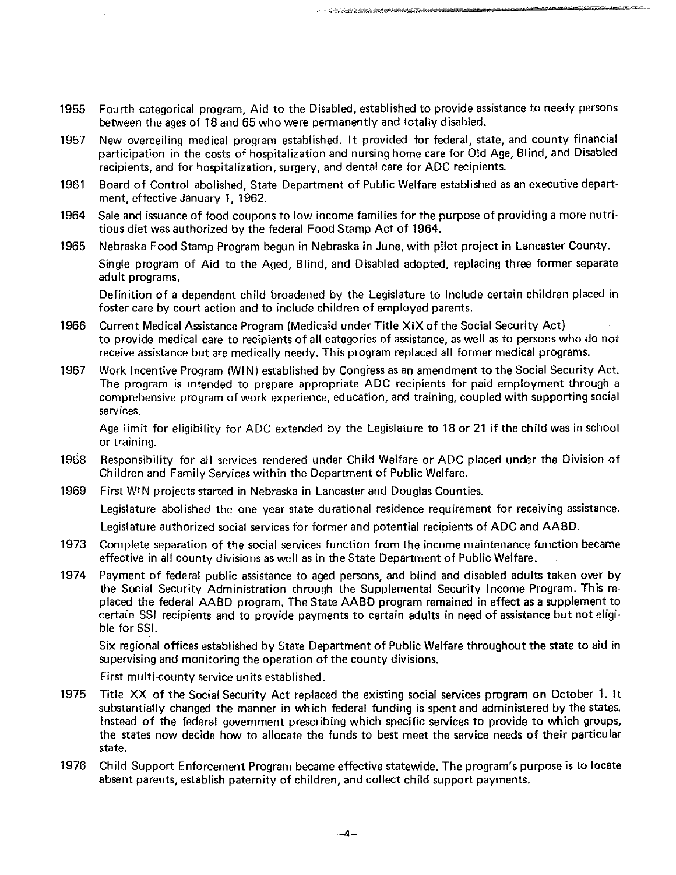1955 Fourth categorical program, Aid to the Disabled, established to provide assistance to needy persons between the ages of 18 and 65 who were permanently and totally disabled.

- 1957 New overceiling medical program established. It provided for federal, state, and county financial participation in the costs of hospitalization and nursing home care for Old Age, Blind, and Disabled recipients, and for hospitalization, surgery, and dental care for ADC recipients.
- 1961 Board of Control abolished, State Department of Public Welfare established as an executive department, effective January 1, 1962.
- 1964 Sale and issuance of food coupons to low income families for the purpose of providing a more nutritious diet was authorized by the federal Food Stamp Act of 1964.
- 1965 Nebraska Food Stamp Program begun in Nebraska in June, with pilot project in Lancaster County. Single program of Aid to the Aged, Blind, and Disabled adopted, replacing three former separate

Definition of a dependent child broadened by the Legislature to include certain children placed in foster care by court action and to include children of employed parents.

- 1966 Current Medical Assistance Program (Medicaid under Title XIX of the Social Security Act) to provide medical care to recipients of all categories of assistance, as well as to persons who do not receive assistance but are medically needy. This program replaced all former medical programs.
- 1967 Work Incentive Program (WIN) established by Congress as an amendment to the Social Security Act. The program is intended to prepare appropriate ADC recipients for paid employment through a comprehensive program of work experience, education, and training, coupled with supporting social services.

Age limit for eligibility for ADC extended by the Legislature to 18 or 21 if the child was in school or training.

- 1968 Responsibility for all services rendered under Child Welfare or ADC placed under the Division of Children and Family Services within the Department of Public Welfare.
- 1969 First WIN projects started in Nebraska in Lancaster and Douglas Counties.

Legislature abolished the one year state durational residence requirement for receiving assistance.

Legislature authorized social services for former and potential recipients of ADC and AABD.

- 1973 Complete separation of the social services function from the income maintenance function became effective in all county divisions as well as in the State Department of Public Welfare.
- 1974 Payment of federal public assistance to aged persons, and blind and disabled adults taken over by the Social Security Administration through the Supplemental Security Income Program. This replaced the federal AABD program. The State AABD program remained in effect as a supplement to certain SSI recipients and to provide payments to certain adults in need of assistance but not eligible for SSI.
	- Six regional offices established by State Department of Public Welfare throughout the state to aid in supervising and monitoring the operation of the county divisions.
		- First multi-county service units established.

adult programs.

- 1975 Title XX of the Social Security Act replaced the existing social services program on October 1. It substantially changed the manner in which federal funding is spent and administered by the states. Instead of the federal government prescribing which specific services to provide to which groups, the states now decide how to allocate the funds to best meet the service needs of their particular state.
- 1976 Child Support Enforcement Program became effective statewide. The program's purpose is to locate absent parents, establish paternity of children, and collect child support payments.